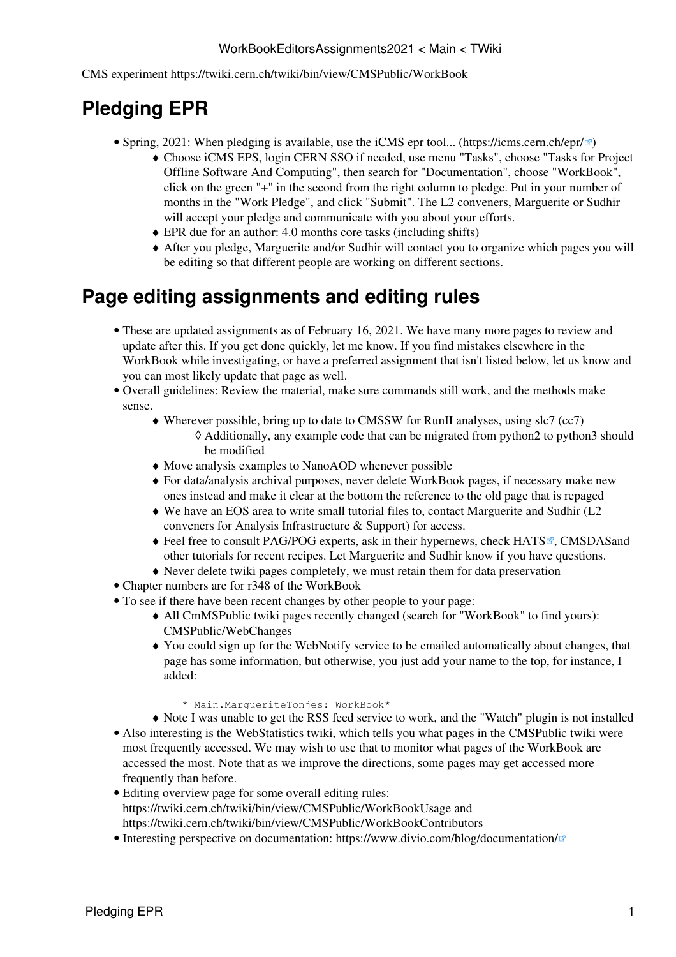#### WorkBookEditorsAssignments2021 < Main < TWiki

CMS experiment<https://twiki.cern.ch/twiki/bin/view/CMSPublic/WorkBook>

# **Pledging EPR**

- Spring, 2021: When pledging is available, use the iCMS epr tool... [\(https://icms.cern.ch/epr/](https://icms.cern.ch/epr/)@)
	- Choose iCMS EPS, login CERN SSO if needed, use menu "Tasks", choose "Tasks for Project ♦ Offline Software And Computing", then search for "Documentation", choose "WorkBook", click on the green "+" in the second from the right column to pledge. Put in your number of months in the "Work Pledge", and click "Submit". The L2 conveners, Marguerite or Sudhir will accept your pledge and communicate with you about your efforts.
	- $\triangle$  EPR due for an author: 4.0 months core tasks (including shifts)
	- After you pledge, Marguerite and/or Sudhir will contact you to organize which pages you will ♦ be editing so that different people are working on different sections.

#### **Page editing assignments and editing rules**

- These are updated assignments as of February 16, 2021. We have many more pages to review and update after this. If you get done quickly, let me know. If you find mistakes elsewhere in the [WorkBook](https://twiki.cern.ch/twiki/bin/view/CMSPublic/WorkBook) while investigating, or have a preferred assignment that isn't listed below, let us know and you can most likely update that page as well.
- Overall guidelines: Review the material, make sure commands still work, and the methods make sense.
	- Wherever possible, bring up to date to CMSSW for RunII analyses, using slc7 (cc7) ♦ Additionally, any example code that can be migrated from python2 to python3 should ◊ be modified
	- ♦ Move analysis examples to [NanoAOD](https://twiki.cern.ch/twiki/bin/view/CMSPublic/WorkBookNanoAOD) whenever possible
	- For data/analysis archival purposes, never delete [WorkBook](https://twiki.cern.ch/twiki/bin/view/Main/WorkBook) pages, if necessary make new ♦ ones instead and make it clear at the bottom the reference to the old page that is repaged
	- We have an EOS area to write small tutorial files to, contact Marguerite and Sudhir (L2 ♦ conveners for Analysis Infrastructure & Support) for access.
	- Feel free to consult PAG/POG experts, ask in their hypernews, check [HATS](http://lpc.fnal.gov/programs/schools-workshops/index.shtml)<sup>®</sup>, [CMSDAS](https://twiki.cern.ch/twiki/bin/view/CMS/WorkBookExercisesCMSDataAnalysisSchool/)and other tutorials for recent recipes. Let Marguerite and Sudhir know if you have questions.
	- ♦ Never delete twiki pages completely, we must retain them for data preservation
- Chapter numbers are for r348 of the [WorkBook](https://twiki.cern.ch/twiki/bin/view/CMSPublic/WorkBook)
- To see if there have been recent changes by other people to your page:
	- All CmMSPublic twiki pages recently changed (search for "[WorkBook"](https://twiki.cern.ch/twiki/bin/view/CMSPublic/WorkBook) to find yours): ♦ [CMSPublic/WebChanges](https://twiki.cern.ch/twiki/bin/view/CMSPublic/WebChanges?limit=200)
	- You could sign up for the [WebNotify](https://twiki.cern.ch/twiki/bin/view/CMSPublic/WebNotify) service to be emailed automatically about changes, that ♦ page has some information, but otherwise, you just add your name to the top, for instance, I added:
		- \* Main.MargueriteTonjes: WorkBook\*
	- ♦ Note I was unable to get the RSS feed service to work, and the "Watch" plugin is not installed
- Also interesting is the [WebStatistics](https://twiki.cern.ch/twiki/bin/view/CMSPublic/WebStatistics) twiki, which tells you what pages in the CMSPublic twiki were most frequently accessed. We may wish to use that to monitor what pages of the [WorkBook](https://twiki.cern.ch/twiki/bin/view/CMSPublic/WorkBook) are accessed the most. Note that as we improve the directions, some pages may get accessed more frequently than before.
- Editing overview page for some overall editing rules: <https://twiki.cern.ch/twiki/bin/view/CMSPublic/WorkBookUsage> and <https://twiki.cern.ch/twiki/bin/view/CMSPublic/WorkBookContributors>
- Interesting perspective on documentation: <https://www.divio.com/blog/documentation/> $\mathbb{F}$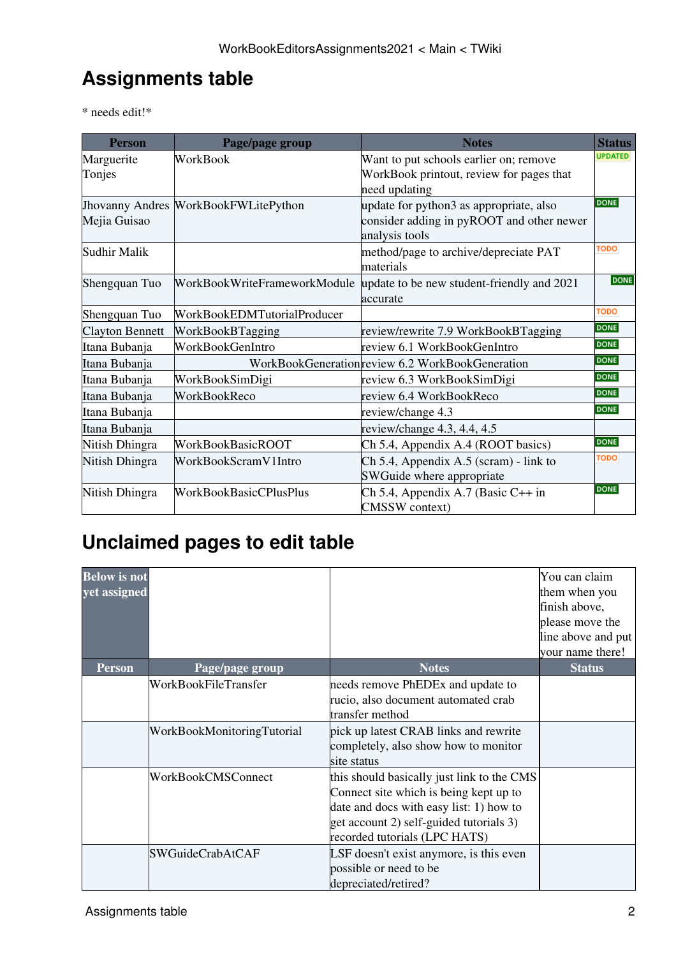## **Assignments table**

\* needs edit!\*

| <b>Person</b>          | Page/page group                             | <b>Notes</b>                                    | <b>Status</b>  |
|------------------------|---------------------------------------------|-------------------------------------------------|----------------|
| Marguerite             | WorkBook                                    | Want to put schools earlier on; remove          | <b>UPDATED</b> |
| Tonjes                 |                                             | WorkBook printout, review for pages that        |                |
|                        |                                             | need updating                                   |                |
|                        | <b>Jhovanny Andres WorkBookFWLitePython</b> | update for python3 as appropriate, also         |                |
| Mejia Guisao           |                                             | consider adding in pyROOT and other newer       |                |
|                        |                                             | analysis tools                                  |                |
| <b>Sudhir Malik</b>    |                                             | method/page to archive/depreciate PAT           | <b>TODO</b>    |
|                        |                                             | materials                                       |                |
| Shengquan Tuo          | WorkBookWriteFrameworkModule                | update to be new student-friendly and 2021      | <b>DONE</b>    |
|                        |                                             | accurate                                        |                |
| Shengquan Tuo          | WorkBookEDMTutorialProducer                 |                                                 | <b>TODO</b>    |
| <b>Clayton Bennett</b> | WorkBookBTagging                            | review/rewrite 7.9 WorkBookBTagging             | <b>DONE</b>    |
| Itana Bubanja          | WorkBookGenIntro                            | review 6.1 WorkBookGenIntro                     | <b>DONE</b>    |
| Itana Bubanja          |                                             | WorkBookGenerationreview 6.2 WorkBookGeneration | <b>DONE</b>    |
| Itana Bubanja          | WorkBookSimDigi                             | review 6.3 WorkBookSimDigi                      | <b>DONE</b>    |
| Itana Bubanja          | WorkBookReco                                | review 6.4 WorkBookReco                         | <b>DONE</b>    |
| Itana Bubanja          |                                             | review/change 4.3                               | <b>DONE</b>    |
| Itana Bubanja          |                                             | review/change 4.3, 4.4, 4.5                     |                |
| Nitish Dhingra         | <b>WorkBookBasicROOT</b>                    | Ch 5.4, Appendix A.4 (ROOT basics)              | <b>DONE</b>    |
| Nitish Dhingra         | WorkBookScramV1Intro                        | Ch 5.4, Appendix A.5 (scram) - link to          | <b>TODO</b>    |
|                        |                                             | SWGuide where appropriate                       |                |
| Nitish Dhingra         | <b>WorkBookBasicCPlusPlus</b>               | Ch 5.4, Appendix A.7 (Basic C++ in              | <b>DONE</b>    |
|                        |                                             | <b>CMSSW</b> context)                           |                |

# **Unclaimed pages to edit table**

| <b>Below</b> is not<br>yet assigned |                            |                                                                                                                                                                                                             | You can claim<br>them when you<br>finish above,<br>please move the<br>line above and put<br>your name there! |
|-------------------------------------|----------------------------|-------------------------------------------------------------------------------------------------------------------------------------------------------------------------------------------------------------|--------------------------------------------------------------------------------------------------------------|
| Person                              | Page/page group            | <b>Notes</b>                                                                                                                                                                                                | <b>Status</b>                                                                                                |
|                                     | WorkBookFileTransfer       | needs remove PhEDEx and update to<br>rucio, also document automated crab<br>transfer method                                                                                                                 |                                                                                                              |
|                                     | WorkBookMonitoringTutorial | pick up latest CRAB links and rewrite<br>completely, also show how to monitor<br>site status                                                                                                                |                                                                                                              |
|                                     | WorkBookCMSConnect         | this should basically just link to the CMS<br>Connect site which is being kept up to<br>date and docs with easy list: 1) how to<br>get account 2) self-guided tutorials 3)<br>recorded tutorials (LPC HATS) |                                                                                                              |
|                                     | <b>SWGuideCrabAtCAF</b>    | LSF doesn't exist anymore, is this even<br>possible or need to be<br>depreciated/retired?                                                                                                                   |                                                                                                              |